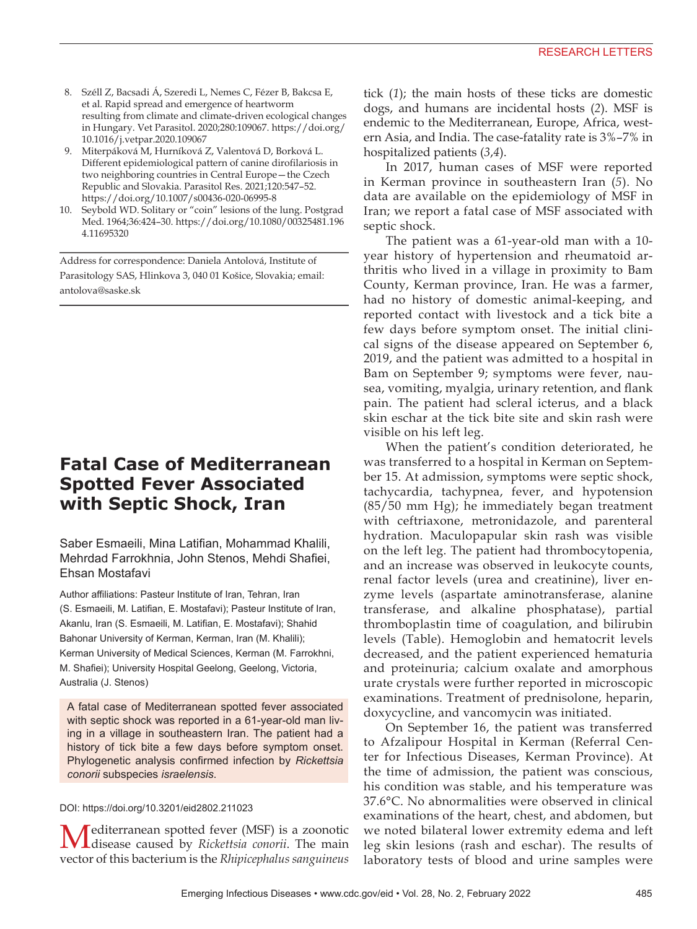- 8. Széll Z, Bacsadi Á, Szeredi L, Nemes C, Fézer B, Bakcsa E, et al. Rapid spread and emergence of heartworm resulting from climate and climate-driven ecological changes in Hungary. Vet Parasitol. 2020;280:109067. https://doi.org/ 10.1016/j.vetpar.2020.109067
- 9. Miterpáková M, Hurníková Z, Valentová D, Borková L. Different epidemiological pattern of canine dirofilariosis in two neighboring countries in Central Europe—the Czech Republic and Slovakia. Parasitol Res. 2021;120:547–52. https://doi.org/10.1007/s00436-020-06995-8
- 10. Seybold WD. Solitary or "coin" lesions of the lung. Postgrad Med. 1964;36:424–30. https://doi.org/10.1080/00325481.196 4.11695320

Address for correspondence: Daniela Antolová, Institute of Parasitology SAS, Hlinkova 3, 040 01 Košice, Slovakia; email: antolova@saske.sk

# **Fatal Case of Mediterranean Spotted Fever Associated with Septic Shock, Iran**

Saber Esmaeili, Mina Latifian, Mohammad Khalili, Mehrdad Farrokhnia, John Stenos, Mehdi Shafiei, Ehsan Mostafavi

Author affiliations: Pasteur Institute of Iran, Tehran, Iran (S. Esmaeili, M. Latifian, E. Mostafavi); Pasteur Institute of Iran, Akanlu, Iran (S. Esmaeili, M. Latifian, E. Mostafavi); Shahid Bahonar University of Kerman, Kerman, Iran (M. Khalili); Kerman University of Medical Sciences, Kerman (M. Farrokhni, M. Shafiei); University Hospital Geelong, Geelong, Victoria, Australia (J. Stenos)

A fatal case of Mediterranean spotted fever associated with septic shock was reported in a 61-year-old man living in a village in southeastern Iran. The patient had a history of tick bite a few days before symptom onset. Phylogenetic analysis confirmed infection by *Rickettsia conorii* subspecies *israelensis*.

## DOI: https://doi.org/10.3201/eid2802.211023

Mediterranean spotted fever (MSF) is a zoonotic disease caused by *Rickettsia conorii*. The main vector of this bacterium is the *Rhipicephalus sanguineus*

tick (*1*); the main hosts of these ticks are domestic dogs, and humans are incidental hosts (*2*). MSF is endemic to the Mediterranean, Europe, Africa, western Asia, and India. The case-fatality rate is 3%–7% in hospitalized patients (*3*,*4*).

In 2017, human cases of MSF were reported in Kerman province in southeastern Iran (*5*). No data are available on the epidemiology of MSF in Iran; we report a fatal case of MSF associated with septic shock.

The patient was a 61-year-old man with a 10 year history of hypertension and rheumatoid arthritis who lived in a village in proximity to Bam County, Kerman province, Iran. He was a farmer, had no history of domestic animal-keeping, and reported contact with livestock and a tick bite a few days before symptom onset. The initial clinical signs of the disease appeared on September 6, 2019, and the patient was admitted to a hospital in Bam on September 9; symptoms were fever, nausea, vomiting, myalgia, urinary retention, and flank pain. The patient had scleral icterus, and a black skin eschar at the tick bite site and skin rash were visible on his left leg.

When the patient's condition deteriorated, he was transferred to a hospital in Kerman on September 15. At admission, symptoms were septic shock, tachycardia, tachypnea, fever, and hypotension (85/50 mm Hg); he immediately began treatment with ceftriaxone, metronidazole, and parenteral hydration. Maculopapular skin rash was visible on the left leg. The patient had thrombocytopenia, and an increase was observed in leukocyte counts, renal factor levels (urea and creatinine), liver enzyme levels (aspartate aminotransferase, alanine transferase, and alkaline phosphatase), partial thromboplastin time of coagulation, and bilirubin levels (Table). Hemoglobin and hematocrit levels decreased, and the patient experienced hematuria and proteinuria; calcium oxalate and amorphous urate crystals were further reported in microscopic examinations. Treatment of prednisolone, heparin, doxycycline, and vancomycin was initiated.

On September 16, the patient was transferred to Afzalipour Hospital in Kerman (Referral Center for Infectious Diseases, Kerman Province). At the time of admission, the patient was conscious, his condition was stable, and his temperature was 37.6°C. No abnormalities were observed in clinical examinations of the heart, chest, and abdomen, but we noted bilateral lower extremity edema and left leg skin lesions (rash and eschar). The results of laboratory tests of blood and urine samples were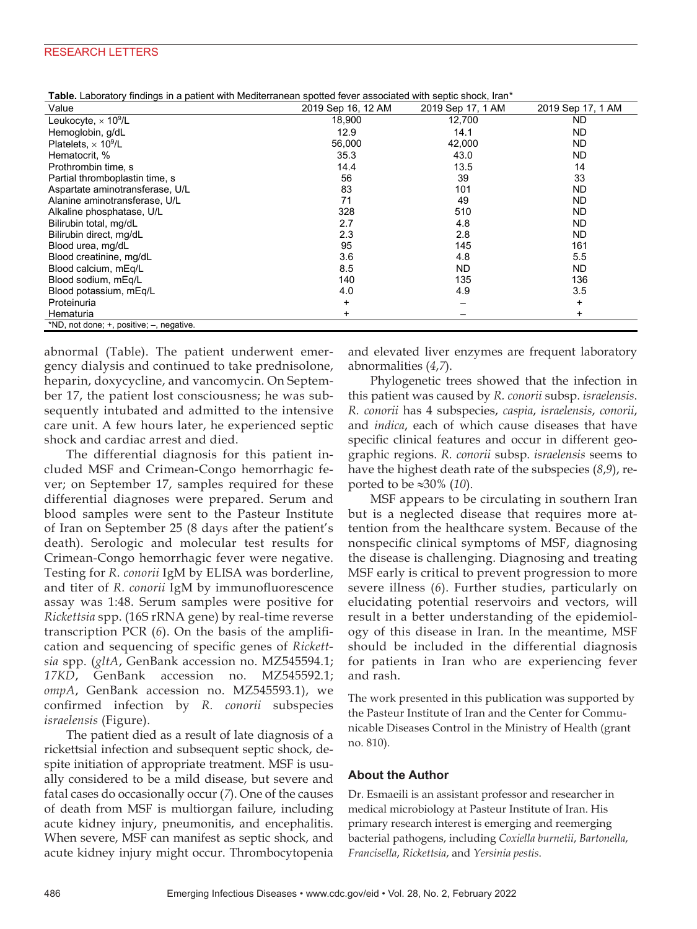### RESEARCH LETTERS

| T <b>able.</b> Laboratory findings in a patient with Mediterranean spotted fever associated with septic shock, Iran* |                    |                   |                   |
|----------------------------------------------------------------------------------------------------------------------|--------------------|-------------------|-------------------|
| Value                                                                                                                | 2019 Sep 16, 12 AM | 2019 Sep 17, 1 AM | 2019 Sep 17, 1 AM |
| Leukocyte, $\times$ 10 <sup>9</sup> /L                                                                               | 18,900             | 12,700            | <b>ND</b>         |
| Hemoglobin, g/dL                                                                                                     | 12.9               | 14.1              | ND.               |
| Platelets, $\times$ 10 <sup>9</sup> /L                                                                               | 56,000             | 42,000            | <b>ND</b>         |
| Hematocrit. %                                                                                                        | 35.3               | 43.0              | <b>ND</b>         |
| Prothrombin time, s                                                                                                  | 14.4               | 13.5              | 14                |
| Partial thromboplastin time, s                                                                                       | 56                 | 39                | 33                |
| Aspartate aminotransferase, U/L                                                                                      | 83                 | 101               | <b>ND</b>         |
| Alanine aminotransferase, U/L                                                                                        | 71                 | 49                | <b>ND</b>         |
| Alkaline phosphatase, U/L                                                                                            | 328                | 510               | <b>ND</b>         |
| Bilirubin total, mg/dL                                                                                               | 2.7                | 4.8               | <b>ND</b>         |
| Bilirubin direct, mg/dL                                                                                              | 2.3                | 2.8               | <b>ND</b>         |
| Blood urea, mg/dL                                                                                                    | 95                 | 145               | 161               |
| Blood creatinine, mg/dL                                                                                              | 3.6                | 4.8               | 5.5               |
| Blood calcium, mEq/L                                                                                                 | 8.5                | ND.               | <b>ND</b>         |
| Blood sodium, mEq/L                                                                                                  | 140                | 135               | 136               |
| Blood potassium, mEq/L                                                                                               | 4.0                | 4.9               | 3.5               |
| Proteinuria                                                                                                          | $\ddot{}$          |                   | $\ddot{}$         |
| Hematuria                                                                                                            | $\ddot{}$          |                   | $\ddot{}$         |
| *ND, not done; +, positive; -, negative.                                                                             |                    |                   |                   |

**Table.** Laboratory findings in a patient with Mediterranean spotted fever associated with septic shock, Iran\*

abnormal (Table). The patient underwent emergency dialysis and continued to take prednisolone, heparin, doxycycline, and vancomycin. On September 17, the patient lost consciousness; he was subsequently intubated and admitted to the intensive care unit. A few hours later, he experienced septic shock and cardiac arrest and died.

The differential diagnosis for this patient included MSF and Crimean-Congo hemorrhagic fever; on September 17, samples required for these differential diagnoses were prepared. Serum and blood samples were sent to the Pasteur Institute of Iran on September 25 (8 days after the patient's death). Serologic and molecular test results for Crimean-Congo hemorrhagic fever were negative. Testing for *R. conorii* IgM by ELISA was borderline, and titer of *R. conorii* IgM by immunofluorescence assay was 1:48. Serum samples were positive for *Rickettsia* spp. (16S rRNA gene) by real-time reverse transcription PCR (*6*). On the basis of the amplification and sequencing of specific genes of *Rickettsia* spp. (*gltA*, GenBank accession no. MZ545594.1; *17KD*, GenBank accession no. MZ545592.1; *ompA*, GenBank accession no. MZ545593.1), we confirmed infection by *R. conorii* subspecies *israelensis* (Figure).

The patient died as a result of late diagnosis of a rickettsial infection and subsequent septic shock, despite initiation of appropriate treatment. MSF is usually considered to be a mild disease, but severe and fatal cases do occasionally occur (*7*). One of the causes of death from MSF is multiorgan failure, including acute kidney injury, pneumonitis, and encephalitis. When severe, MSF can manifest as septic shock, and acute kidney injury might occur. Thrombocytopenia

and elevated liver enzymes are frequent laboratory abnormalities (*4*,*7*).

Phylogenetic trees showed that the infection in this patient was caused by *R. conorii* subsp. *israelensis*. *R. conorii* has 4 subspecies, *caspia*, *israelensis*, *conorii*, and *indica*, each of which cause diseases that have specific clinical features and occur in different geographic regions. *R. conorii* subsp. *israelensis* seems to have the highest death rate of the subspecies (*8*,*9*), reported to be ≈30% (*10*).

MSF appears to be circulating in southern Iran but is a neglected disease that requires more attention from the healthcare system. Because of the nonspecific clinical symptoms of MSF, diagnosing the disease is challenging. Diagnosing and treating MSF early is critical to prevent progression to more severe illness (*6*). Further studies, particularly on elucidating potential reservoirs and vectors, will result in a better understanding of the epidemiology of this disease in Iran. In the meantime, MSF should be included in the differential diagnosis for patients in Iran who are experiencing fever and rash.

The work presented in this publication was supported by the Pasteur Institute of Iran and the Center for Communicable Diseases Control in the Ministry of Health (grant no. 810).

## **About the Author**

Dr. Esmaeili is an assistant professor and researcher in medical microbiology at Pasteur Institute of Iran. His primary research interest is emerging and reemerging bacterial pathogens, including *Coxiella burnetii*, *Bartonella*, *Francisella*, *Rickettsia*, and *Yersinia pestis*.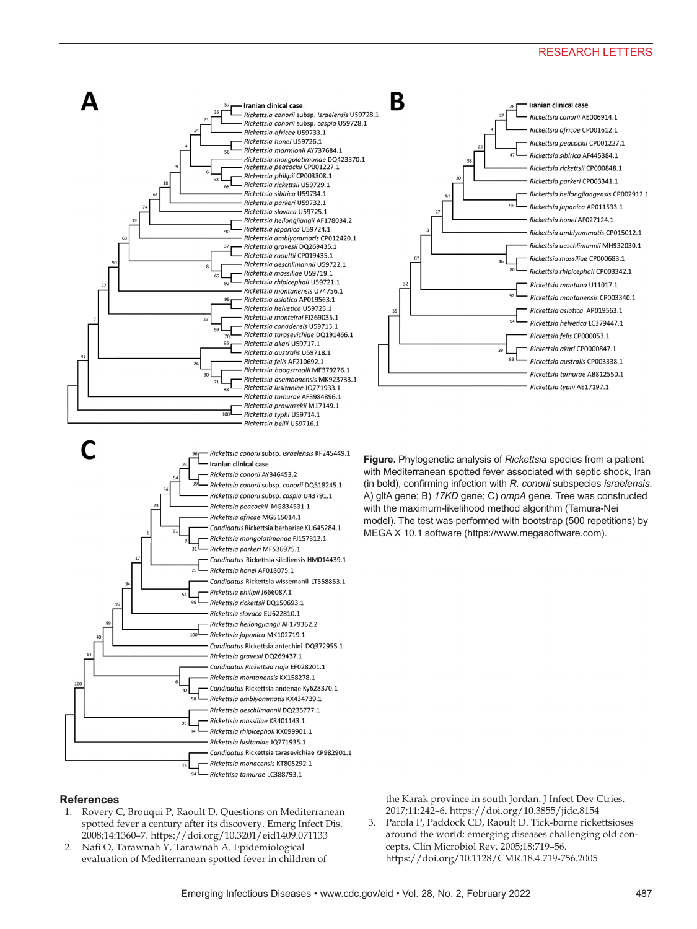## RESEARCH LETTERS



### **References**

- 1. Rovery C, Brouqui P, Raoult D. Questions on Mediterranean spotted fever a century after its discovery. Emerg Infect Dis. 2008;14:1360–7. https://doi.org/10.3201/eid1409.071133
- 2. Nafi O, Tarawnah Y, Tarawnah A. Epidemiological evaluation of Mediterranean spotted fever in children of

the Karak province in south Jordan. J Infect Dev Ctries. 2017;11:242–6. https://doi.org/10.3855/jidc.8154

 3. Parola P, Paddock CD, Raoult D. Tick-borne rickettsioses around the world: emerging diseases challenging old concepts. Clin Microbiol Rev. 2005;18:719–56. https://doi.org/10.1128/CMR.18.4.719-756.2005